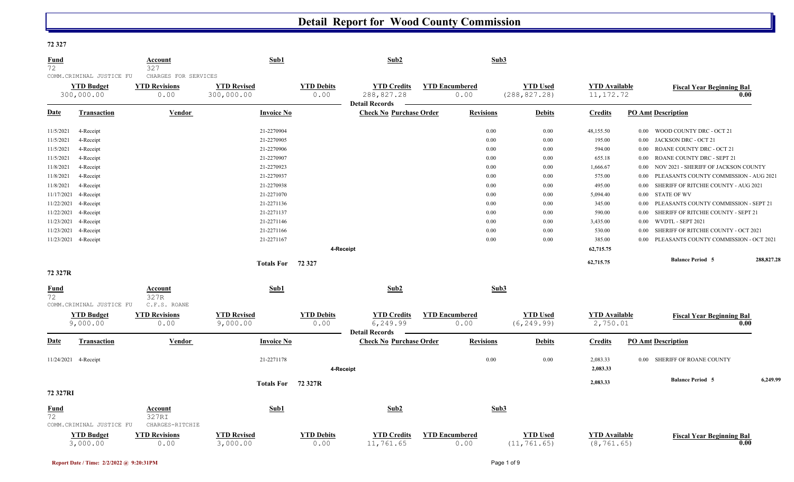#### **72 327**

| <u>Fund</u><br>72 |                                                              | Account<br>327                                       | Sub1                             |                           | Sub2                                                      |                               | Sub3             |                                  |                                     |          |                                        |            |
|-------------------|--------------------------------------------------------------|------------------------------------------------------|----------------------------------|---------------------------|-----------------------------------------------------------|-------------------------------|------------------|----------------------------------|-------------------------------------|----------|----------------------------------------|------------|
|                   | COMM. CRIMINAL JUSTICE FU<br><b>YTD Budget</b><br>300,000.00 | CHARGES FOR SERVICES<br><b>YTD Revisions</b><br>0.00 | <b>YTD Revised</b><br>300,000.00 | <b>YTD Debits</b><br>0.00 | <b>YTD Credits</b><br>288,827.28<br><b>Detail Records</b> | <b>YTD Encumbered</b><br>0.00 |                  | <b>YTD Used</b><br>(288, 827.28) | <b>YTD Available</b><br>11, 172.72  |          | <b>Fiscal Year Beginning Bal</b>       | 0.00       |
| Date              | <b>Transaction</b>                                           | Vendor                                               | <b>Invoice No</b>                |                           | <b>Check No Purchase Order</b>                            |                               | <b>Revisions</b> | <b>Debits</b>                    | <b>Credits</b>                      |          | <b>PO Amt Description</b>              |            |
| 11/5/2021         | 4-Receipt                                                    |                                                      | 21-2270904                       |                           |                                                           |                               | 0.00             | 0.00                             | 48,155.50                           |          | 0.00 WOOD COUNTY DRC - OCT 21          |            |
| 11/5/2021         | 4-Receipt                                                    |                                                      | 21-2270905                       |                           |                                                           |                               | 0.00             | 0.00                             | 195.00                              | 0.00     | JACKSON DRC - OCT 21                   |            |
| 11/5/2021         | 4-Receipt                                                    |                                                      | 21-2270906                       |                           |                                                           |                               | 0.00             | 0.00                             | 594.00                              | $0.00\,$ | ROANE COUNTY DRC - OCT 21              |            |
| 11/5/2021         | 4-Receipt                                                    |                                                      | 21-2270907                       |                           |                                                           |                               | 0.00             | 0.00                             | 655.18                              | $0.00\,$ | ROANE COUNTY DRC - SEPT 21             |            |
| 11/8/2021         | 4-Receipt                                                    |                                                      | 21-2270923                       |                           |                                                           |                               | 0.00             | 0.00                             | 1,666.67                            | $0.00\,$ | NOV 2021 - SHERIFF OF JACKSON COUNTY   |            |
| 11/8/2021         | 4-Receipt                                                    |                                                      | 21-2270937                       |                           |                                                           |                               | 0.00             | 0.00                             | 575.00                              | 0.00     | PLEASANTS COUNTY COMMISSION - AUG 2021 |            |
| 11/8/2021         | 4-Receipt                                                    |                                                      | 21-2270938                       |                           |                                                           |                               | 0.00             | 0.00                             | 495.00                              | $0.00\,$ | SHERIFF OF RITCHIE COUNTY - AUG 2021   |            |
| 11/17/2021        | 4-Receipt                                                    |                                                      | 21-2271070                       |                           |                                                           |                               | 0.00             | 0.00                             | 5,094.40                            | $0.00\,$ | <b>STATE OF WV</b>                     |            |
| 11/22/2021        | 4-Receipt                                                    |                                                      | 21-2271136                       |                           |                                                           |                               | 0.00             | 0.00                             | 345.00                              | 0.00     | PLEASANTS COUNTY COMMISSION - SEPT 21  |            |
| 11/22/2021        | 4-Receipt                                                    |                                                      | 21-2271137                       |                           |                                                           |                               | 0.00             | 0.00                             | 590.00                              | $0.00\,$ | SHERIFF OF RITCHIE COUNTY - SEPT 21    |            |
| 11/23/2021        | 4-Receipt                                                    |                                                      | 21-2271146                       |                           |                                                           |                               | $0.00\,$         | 0.00                             | 3,435.00                            | $0.00\,$ | WVDTL - SEPT 2021                      |            |
| 11/23/2021        | 4-Receipt                                                    |                                                      | 21-2271166                       |                           |                                                           |                               | 0.00             | 0.00                             | 530.00                              | 0.00     | SHERIFF OF RITCHIE COUNTY - OCT 2021   |            |
| 11/23/2021        | 4-Receipt                                                    |                                                      | 21-2271167                       |                           |                                                           |                               | 0.00             | 0.00                             | 385.00                              | 0.00     | PLEASANTS COUNTY COMMISSION - OCT 2021 |            |
|                   |                                                              |                                                      |                                  |                           | 4-Receipt                                                 |                               |                  |                                  | 62,715.75                           |          |                                        |            |
|                   |                                                              |                                                      | Totals For 72 327                |                           |                                                           |                               |                  |                                  | 62,715.75                           |          | <b>Balance Period 5</b>                | 288,827.28 |
| 72 327R           |                                                              |                                                      |                                  |                           |                                                           |                               |                  |                                  |                                     |          |                                        |            |
| Fund<br>72        |                                                              | Account<br>327R                                      | Sub1                             |                           | Sub2                                                      |                               | Sub3             |                                  |                                     |          |                                        |            |
|                   | COMM.CRIMINAL JUSTICE FU                                     | C.F.S. ROANE                                         |                                  |                           |                                                           |                               |                  |                                  |                                     |          |                                        |            |
|                   | <b>YTD Budget</b><br>9,000.00                                | <b>YTD Revisions</b><br>0.00                         | <b>YTD Revised</b><br>9,000.00   | <b>YTD Debits</b><br>0.00 | <b>YTD Credits</b><br>6,249.99<br><b>Detail Records</b>   | <b>YTD Encumbered</b><br>0.00 |                  | <b>YTD Used</b><br>(6, 249.99)   | <b>YTD Available</b><br>2,750.01    |          | <b>Fiscal Year Beginning Bal</b>       | 0.00       |
| <b>Date</b>       | <b>Transaction</b>                                           | <b>Vendor</b>                                        | <b>Invoice No</b>                |                           | <b>Check No Purchase Order</b>                            |                               | <b>Revisions</b> | <b>Debits</b>                    | <b>Credits</b>                      |          | <b>PO Amt Description</b>              |            |
|                   | 11/24/2021 4-Receipt                                         |                                                      | 21-2271178                       | 4-Receipt                 |                                                           |                               | $0.00\,$         | 0.00                             | 2,083.33<br>2,083.33                |          | 0.00 SHERIFF OF ROANE COUNTY           |            |
| 72 327RI          |                                                              |                                                      | Totals For 72 327R               |                           |                                                           |                               |                  |                                  | 2,083.33                            |          | <b>Balance Period 5</b>                | 6,249.99   |
| <b>Fund</b>       |                                                              | Account                                              | Sub1                             |                           | Sub2                                                      |                               | Sub3             |                                  |                                     |          |                                        |            |
| 72                | COMM.CRIMINAL JUSTICE FU                                     | 327RI<br>CHARGES-RITCHIE                             |                                  |                           |                                                           |                               |                  |                                  |                                     |          |                                        |            |
|                   | <b>YTD Budget</b><br>3,000.00                                | <b>YTD Revisions</b><br>0.00                         | <b>YTD Revised</b><br>3,000.00   | <b>YTD Debits</b><br>0.00 | <b>YTD Credits</b><br>11,761.65                           | <b>YTD</b> Encumbered<br>0.00 |                  | <b>YTD</b> Used<br>(11, 761.65)  | <b>YTD Available</b><br>(8, 761.65) |          | <b>Fiscal Year Beginning Bal</b>       | 0.00       |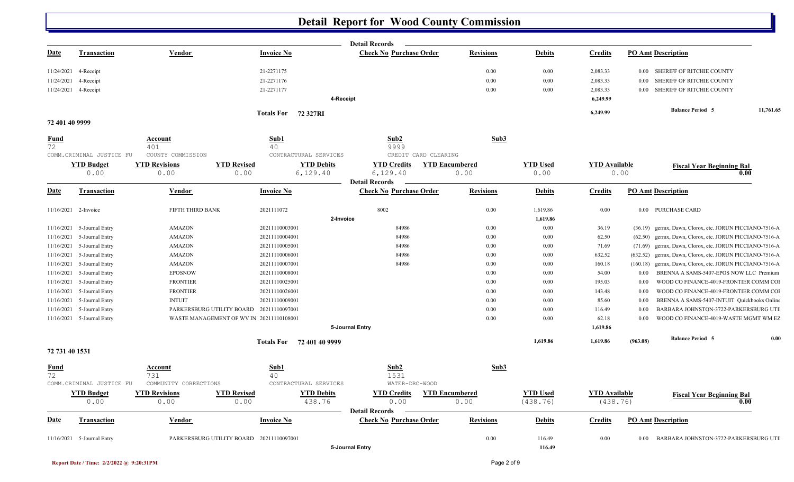|                   |                            |                                                |                    |                                     |                   | <b>Detail Records</b>          |                      |                       |                      |                      |          |                                                         |           |
|-------------------|----------------------------|------------------------------------------------|--------------------|-------------------------------------|-------------------|--------------------------------|----------------------|-----------------------|----------------------|----------------------|----------|---------------------------------------------------------|-----------|
| <u>Date</u>       | <b>Transaction</b>         | <b>Vendor</b>                                  |                    | <b>Invoice No</b>                   |                   | <b>Check No Purchase Order</b> |                      | <b>Revisions</b>      | <b>Debits</b>        | <b>Credits</b>       |          | <b>PO Amt Description</b>                               |           |
| 11/24/2021        | 4-Receipt                  |                                                |                    | 21-2271175                          |                   |                                |                      | 0.00                  | 0.00                 | 2,083.33             |          | 0.00 SHERIFF OF RITCHIE COUNTY                          |           |
| 11/24/2021        | 4-Receipt                  |                                                |                    | 21-2271176                          |                   |                                |                      | 0.00                  | 0.00                 | 2,083.33             | 0.00     | SHERIFF OF RITCHIE COUNTY                               |           |
|                   | 11/24/2021 4-Receipt       |                                                |                    | 21-2271177                          |                   |                                |                      | 0.00                  | 0.00                 | 2,083.33             | 0.00     | SHERIFF OF RITCHIE COUNTY                               |           |
|                   |                            |                                                |                    |                                     | 4-Receipt         |                                |                      |                       |                      | 6,249.99             |          |                                                         |           |
|                   |                            |                                                |                    | Totals For 72 327RI                 |                   |                                |                      |                       |                      | 6,249.99             |          | <b>Balance Period 5</b>                                 | 11,761.65 |
| 72 401 40 9999    |                            |                                                |                    |                                     |                   |                                |                      |                       |                      |                      |          |                                                         |           |
| <b>Fund</b>       |                            | Account                                        |                    | Sub1                                |                   | Sub2                           |                      | Sub3                  |                      |                      |          |                                                         |           |
| 72                |                            | 401                                            |                    | 40                                  |                   | 9999                           |                      |                       |                      |                      |          |                                                         |           |
|                   | COMM.CRIMINAL JUSTICE FU   | COUNTY COMMISSION                              |                    | CONTRACTURAL SERVICES               |                   |                                | CREDIT CARD CLEARING |                       |                      |                      |          |                                                         |           |
|                   | <b>YTD Budget</b>          | <b>YTD Revisions</b>                           | <b>YTD Revised</b> |                                     | <b>YTD Debits</b> | <b>YTD Credits</b>             |                      | <b>YTD Encumbered</b> | <b>YTD Used</b>      | <b>YTD Available</b> |          | <b>Fiscal Year Beginning Bal</b>                        |           |
|                   | 0.00                       | 0.00                                           | 0.00               | 6,129.40                            |                   | 6,129.40                       |                      | 0.00                  | 0.00                 | 0.00                 |          |                                                         | 0.00      |
|                   |                            |                                                |                    |                                     |                   | <b>Detail Records</b>          |                      |                       |                      |                      |          |                                                         |           |
| <b>Date</b>       | Transaction                | Vendor                                         |                    | <b>Invoice No</b>                   |                   | <b>Check No Purchase Order</b> |                      | <b>Revisions</b>      | <b>Debits</b>        | <b>Credits</b>       |          | <b>PO Amt Description</b>                               |           |
|                   | 11/16/2021 2-Invoice       | FIFTH THIRD BANK                               |                    | 2021111072                          | 2-Invoice         | 8002                           |                      | 0.00                  | 1,619.86<br>1,619.86 | $0.00\,$             |          | 0.00 PURCHASE CARD                                      |           |
| 11/16/2021        | 5-Journal Entry            | <b>AMAZON</b>                                  |                    | 20211110003001                      |                   | 84986                          |                      | 0.00                  | 0.00                 | 36.19                |          | (36.19) germx, Dawn, Clorox, etc. JORUN PICCIANO-7516-A |           |
| 11/16/2021        | 5-Journal Entry            | <b>AMAZON</b>                                  |                    | 20211110004001                      |                   | 84986                          |                      | 0.00                  | 0.00                 | 62.50                | (62.50)  | germx, Dawn, Clorox, etc. JORUN PICCIANO-7516-A         |           |
| 11/16/2021        | 5-Journal Entry            | <b>AMAZON</b>                                  |                    | 20211110005001                      |                   | 84986                          |                      | 0.00                  | 0.00                 | 71.69                | (71.69)  | germx, Dawn, Clorox, etc. JORUN PICCIANO-7516-A         |           |
| 11/16/2021        | 5-Journal Entry            | <b>AMAZON</b>                                  |                    | 20211110006001                      |                   | 84986                          |                      | 0.00                  | 0.00                 | 632.52               | (632.52) | germx, Dawn, Clorox, etc. JORUN PICCIANO-7516-A         |           |
| 11/16/2021        | 5-Journal Entry            | <b>AMAZON</b>                                  |                    | 20211110007001                      |                   | 84986                          |                      | 0.00                  | 0.00                 | 160.18               | (160.18) | germx, Dawn, Clorox, etc. JORUN PICCIANO-7516-A         |           |
| 11/16/2021        | 5-Journal Entry            | <b>EPOSNOW</b>                                 |                    | 20211110008001                      |                   |                                |                      | 0.00                  | 0.00                 | 54.00                | $0.00\,$ | BRENNA A SAMS-5407-EPOS NOW LLC Premium                 |           |
| 11/16/2021        | 5-Journal Entry            | <b>FRONTIER</b>                                |                    | 20211110025001                      |                   |                                |                      | 0.00                  | 0.00                 | 195.03               | 0.00     | WOOD CO FINANCE-4019-FRONTIER COMM COI                  |           |
| 11/16/2021        | 5-Journal Entry            | <b>FRONTIER</b>                                |                    | 20211110026001                      |                   |                                |                      | 0.00                  | 0.00                 | 143.48               | $0.00\,$ | WOOD CO FINANCE-4019-FRONTIER COMM COI                  |           |
| 11/16/2021        | 5-Journal Entry            | <b>INTUIT</b>                                  |                    | 20211110009001                      |                   |                                |                      | 0.00                  | 0.00                 | 85.60                | 0.00     | BRENNA A SAMS-5407-INTUIT Quickbooks Online             |           |
| 11/16/2021        | 5-Journal Entry            | PARKERSBURG UTILITY BOARD                      |                    | 20211110097001                      |                   |                                |                      | 0.00                  | 0.00                 | 116.49               | $0.00\,$ | BARBARA JOHNSTON-3722-PARKERSBURG UTI                   |           |
|                   | 11/16/2021 5-Journal Entry | WASTE MANAGEMENT OF WV IN 20211110108001       |                    |                                     |                   |                                |                      | 0.00                  | 0.00                 | 62.18                | $0.00\,$ | WOOD CO FINANCE-4019-WASTE MGMT WM EZ                   |           |
|                   |                            |                                                |                    |                                     | 5-Journal Entry   |                                |                      |                       |                      | 1,619.86             |          |                                                         |           |
|                   |                            |                                                |                    | Totals For 72 401 40 9999           |                   |                                |                      |                       | 1,619.86             | 1,619.86             | (963.08) | <b>Balance Period 5</b>                                 | 0.00      |
| 72 731 40 1531    |                            |                                                |                    |                                     |                   |                                |                      |                       |                      |                      |          |                                                         |           |
| <u>Fund</u><br>72 | COMM.CRIMINAL JUSTICE FU   | <b>Account</b><br>731<br>COMMUNITY CORRECTIONS |                    | Sub1<br>40<br>CONTRACTURAL SERVICES |                   | Sub2<br>1531<br>WATER-DRC-WOOD |                      | Sub3                  |                      |                      |          |                                                         |           |
|                   | <b>YTD Budget</b>          | <b>YTD Revisions</b>                           | <b>YTD Revised</b> |                                     | <b>YTD Debits</b> | <b>YTD Credits</b>             |                      | <b>YTD Encumbered</b> | <b>YTD Used</b>      | <b>YTD Available</b> |          |                                                         |           |
|                   | 0.00                       | 0.00                                           | 0.00               |                                     | 438.76            | 0.00                           |                      | 0.00                  | (438.76)             | (438.76)             |          | <b>Fiscal Year Beginning Bal</b>                        | 0.00      |
|                   |                            |                                                |                    |                                     |                   | <b>Detail Records</b>          |                      |                       |                      |                      |          |                                                         |           |
| Date              | <b>Transaction</b>         | Vendor                                         |                    | <b>Invoice No</b>                   |                   | <b>Check No Purchase Order</b> |                      | <b>Revisions</b>      | <b>Debits</b>        | <b>Credits</b>       |          | <b>PO Amt Description</b>                               |           |
|                   | 11/16/2021 5-Journal Entry | PARKERSBURG UTILITY BOARD 20211110097001       |                    |                                     |                   |                                |                      | 0.00                  | 116.49               | $0.00\,$             |          | 0.00 BARBARA JOHNSTON-3722-PARKERSBURG UTI              |           |
|                   |                            |                                                |                    |                                     | 5-Journal Entry   |                                |                      |                       | 116.49               |                      |          |                                                         |           |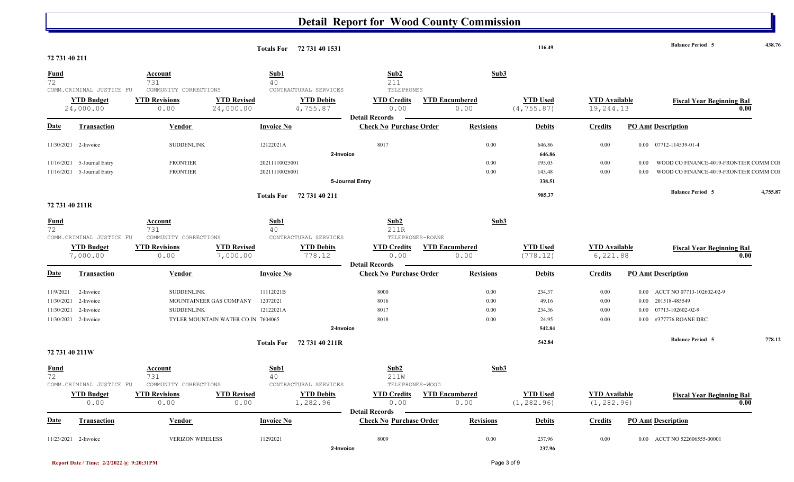|                                                               |                                                          |                                                                   |                                    |                                    | Totals For 72 731 40 1531                              |                                                                        |                       |                                      | 116.49                                       |                                     |                                              | <b>Balance Period 5</b>                                                              |      | 438.76   |
|---------------------------------------------------------------|----------------------------------------------------------|-------------------------------------------------------------------|------------------------------------|------------------------------------|--------------------------------------------------------|------------------------------------------------------------------------|-----------------------|--------------------------------------|----------------------------------------------|-------------------------------------|----------------------------------------------|--------------------------------------------------------------------------------------|------|----------|
| 72 731 40 211                                                 |                                                          |                                                                   |                                    |                                    |                                                        |                                                                        |                       |                                      |                                              |                                     |                                              |                                                                                      |      |          |
| <u>Fund</u><br>72                                             | COMM. CRIMINAL JUSTICE FU                                | Account<br>731<br>COMMUNITY CORRECTIONS                           |                                    | Sub1<br>40                         | CONTRACTURAL SERVICES                                  | Sub2<br>211<br>TELEPHONES                                              |                       | Sub3                                 |                                              |                                     |                                              |                                                                                      |      |          |
|                                                               | <b>YTD Budget</b><br>24,000.00                           | <b>YTD Revisions</b><br>0.00                                      | <b>YTD Revised</b><br>24,000.00    |                                    | <b>YTD Debits</b><br>4,755.87                          | <b>YTD Credits</b><br>0.00                                             | <b>YTD Encumbered</b> | 0.00                                 | <b>YTD Used</b><br>(4, 755.87)               | <b>YTD Available</b><br>19,244.13   |                                              | <b>Fiscal Year Beginning Bal</b>                                                     | 0.00 |          |
| <u>Date</u>                                                   | <b>Transaction</b>                                       | <b>Vendor</b>                                                     |                                    | <b>Invoice No</b>                  |                                                        | <b>Detail Records</b><br><b>Check No Purchase Order</b>                |                       | <b>Revisions</b>                     | <b>Debits</b>                                | <b>Credits</b>                      |                                              | <b>PO Amt Description</b>                                                            |      |          |
| 11/30/2021 2-Invoice                                          |                                                          | <b>SUDDENLINK</b>                                                 |                                    | 12122021A                          | 2-Invoice                                              | 8017                                                                   |                       | 0.00                                 | 646.86<br>646.86                             | 0.00                                |                                              | 0.00 07712-114539-01-4                                                               |      |          |
|                                                               | 11/16/2021 5-Journal Entry<br>11/16/2021 5-Journal Entry | <b>FRONTIER</b><br><b>FRONTIER</b>                                |                                    | 20211110025001<br>20211110026001   |                                                        |                                                                        |                       | 0.00<br>$0.00\,$                     | 195.03<br>143.48                             | 0.00<br>0.00                        | 0.00                                         | WOOD CO FINANCE-4019-FRONTIER COMM COI<br>WOOD CO FINANCE-4019-FRONTIER COMM COI     |      |          |
|                                                               |                                                          |                                                                   |                                    |                                    |                                                        | 5-Journal Entry                                                        |                       |                                      | 338.51                                       |                                     |                                              | <b>Balance Period 5</b>                                                              |      | 4,755.87 |
| 72 731 40 211R                                                |                                                          |                                                                   |                                    |                                    | Totals For 72 731 40 211                               |                                                                        |                       |                                      | 985.37                                       |                                     |                                              |                                                                                      |      |          |
| $\frac{Fund}{72}$                                             | COMM.CRIMINAL JUSTICE FU                                 | Account<br>731                                                    |                                    | Sub1<br>40                         | CONTRACTURAL SERVICES                                  | Sub2<br>211R                                                           |                       | Sub3                                 |                                              |                                     |                                              |                                                                                      |      |          |
|                                                               | <b>YTD Budget</b><br>7,000.00                            | COMMUNITY CORRECTIONS<br><b>YTD Revisions</b><br>0.00             | <b>YTD Revised</b><br>7,000.00     |                                    | <b>YTD Debits</b><br>778.12                            | TELEPHONES-ROANE<br><b>YTD Credits</b><br>0.00                         | <b>YTD Encumbered</b> | 0.00                                 | <b>YTD Used</b><br>(778.12)                  | <b>YTD</b> Available<br>6,221.88    |                                              | <b>Fiscal Year Beginning Bal</b>                                                     | 0.00 |          |
| <u>Date</u>                                                   | Transaction                                              | Vendor                                                            |                                    | <b>Invoice No</b>                  |                                                        | <b>Detail Records</b><br><b>Check No Purchase Order</b>                |                       | <b>Revisions</b>                     | <b>Debits</b>                                | <b>Credits</b>                      |                                              | <b>PO Amt Description</b>                                                            |      |          |
| 11/9/2021<br>11/30/2021<br>11/30/2021<br>11/30/2021 2-Invoice | 2-Invoice<br>2-Invoice<br>2-Invoice                      | <b>SUDDENLINK</b><br>MOUNTAINEER GAS COMPANY<br><b>SUDDENLINK</b> | TYLER MOUNTAIN WATER CO IN 7604065 | 11112021B<br>12072021<br>12122021A | 2-Invoice                                              | 8000<br>8016<br>8017<br>8018                                           |                       | $0.00\,$<br>$0.00\,$<br>0.00<br>0.00 | 234.37<br>49.16<br>234.36<br>24.95<br>542.84 | 0.00<br>0.00<br>0.00<br>0.00        | $0.00\,$<br>$0.00\,$<br>$0.00\,$<br>$0.00\,$ | ACCT NO 07713-102602-02-9<br>201518-485549<br>07713-102602-02-9<br>#377776 ROANE DRC |      |          |
| 72 731 40 211W                                                |                                                          |                                                                   |                                    |                                    | Totals For 72 731 40 211R                              |                                                                        |                       |                                      | 542.84                                       |                                     |                                              | <b>Balance Period 5</b>                                                              |      | 778.12   |
| <u>Fund</u><br>72                                             |                                                          | <u>Account</u><br>731                                             |                                    | Sub1<br>40                         |                                                        | Sub2<br>211W                                                           |                       | Sub3                                 |                                              |                                     |                                              |                                                                                      |      |          |
|                                                               | COMM. CRIMINAL JUSTICE FU<br><b>YTD Budget</b><br>0.00   | COMMUNITY CORRECTIONS<br><b>YTD Revisions</b><br>0.00             | <b>YTD Revised</b><br>0.00         |                                    | CONTRACTURAL SERVICES<br><b>YTD Debits</b><br>1,282.96 | TELEPHONES-WOOD<br><b>YTD Credits</b><br>0.00<br><b>Detail Records</b> | <b>YTD Encumbered</b> | 0.00                                 | <b>YTD Used</b><br>(1, 282.96)               | <b>YTD Available</b><br>(1, 282.96) |                                              | <b>Fiscal Year Beginning Bal</b>                                                     | 0.00 |          |
| <b>Date</b>                                                   | <b>Transaction</b>                                       | <b>Vendor</b>                                                     |                                    | <b>Invoice No</b>                  |                                                        | <b>Check No Purchase Order</b>                                         |                       | <b>Revisions</b>                     | <b>Debits</b>                                | <b>Credits</b>                      |                                              | <b>PO Amt Description</b>                                                            |      |          |
| 11/23/2021 2-Invoice                                          |                                                          | <b>VERIZON WIRELESS</b>                                           |                                    | 11292021                           | 2-Invoice                                              | 8009                                                                   |                       | $0.00\,$                             | 237.96<br>237.96                             | $0.00\,$                            |                                              | 0.00 ACCT NO 522606555-00001                                                         |      |          |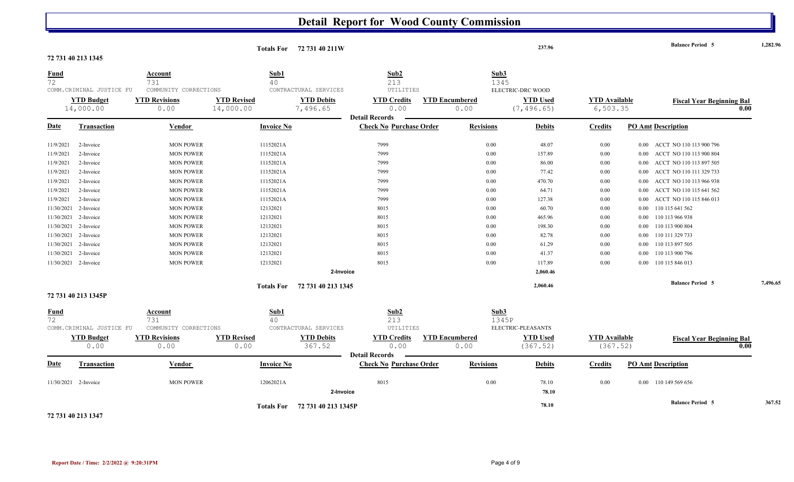|                      |                           |                                                |                    | Totals For 72 731 40 211W      |                                |                       | 237.96                              |                      |          | <b>Balance Period 5</b>          | 1,282.96 |
|----------------------|---------------------------|------------------------------------------------|--------------------|--------------------------------|--------------------------------|-----------------------|-------------------------------------|----------------------|----------|----------------------------------|----------|
| 72 731 40 213 1345   |                           |                                                |                    |                                |                                |                       |                                     |                      |          |                                  |          |
| <b>Fund</b><br>72    |                           | <u>Account</u><br>731                          | Sub1<br>40         |                                | Sub2<br>213                    |                       | Sub3<br>1345                        |                      |          |                                  |          |
|                      | COMM. CRIMINAL JUSTICE FU | COMMUNITY CORRECTIONS                          |                    | CONTRACTURAL SERVICES          | UTILITIES                      |                       | ELECTRIC-DRC WOOD                   |                      |          |                                  |          |
|                      | <b>YTD Budget</b>         | <b>YTD Revisions</b>                           | <b>YTD Revised</b> | <b>YTD Debits</b>              | <b>YTD Credits</b>             | <b>YTD Encumbered</b> | <b>YTD Used</b>                     | <b>YTD Available</b> |          | <b>Fiscal Year Beginning Bal</b> |          |
|                      | 14,000.00                 | 0.00                                           | 14,000.00          | 7,496.65                       | 0.00                           | 0.00                  | (7, 496.65)                         | 6, 503.35            |          |                                  | 0.00     |
|                      |                           |                                                |                    |                                | <b>Detail Records</b>          |                       |                                     |                      |          |                                  |          |
| <b>Date</b>          | <b>Transaction</b>        | Vendor                                         | <b>Invoice No</b>  |                                | <b>Check No Purchase Order</b> | <b>Revisions</b>      | <b>Debits</b>                       | <b>Credits</b>       |          | <b>PO Amt Description</b>        |          |
| 11/9/2021            | 2-Invoice                 | <b>MON POWER</b>                               | 11152021A          |                                | 7999                           | 0.00                  | 48.07                               | 0.00                 | $0.00\,$ | ACCT NO 110 113 900 796          |          |
| 11/9/2021            | 2-Invoice                 | <b>MON POWER</b>                               | 11152021A          |                                | 7999                           | 0.00                  | 157.89                              | $0.00\,$             | $0.00\,$ | ACCT NO 110 113 900 804          |          |
| 11/9/2021            | 2-Invoice                 | <b>MON POWER</b>                               | 11152021A          |                                | 7999                           | 0.00                  | 86.00                               | 0.00                 | $0.00\,$ | ACCT NO 110 113 897 505          |          |
| 11/9/2021            | 2-Invoice                 | <b>MON POWER</b>                               | 11152021A          |                                | 7999                           | 0.00                  | 77.42                               | 0.00                 | 0.00     | ACCT NO 110 111 329 733          |          |
| 11/9/2021            | 2-Invoice                 | <b>MON POWER</b>                               | 11152021A          |                                | 7999                           | 0.00                  | 470.70                              | $0.00\,$             | 0.00     | ACCT NO 110 113 966 938          |          |
| 11/9/2021            | 2-Invoice                 | <b>MON POWER</b>                               | 11152021A          |                                | 7999                           | 0.00                  | 64.71                               | 0.00                 | 0.00     | ACCT NO 110 115 641 562          |          |
| 11/9/2021            | 2-Invoice                 | <b>MON POWER</b>                               | 11152021A          |                                | 7999                           | 0.00                  | 127.38                              | 0.00                 | 0.00     | ACCT NO 110 115 846 013          |          |
| 11/30/2021           | 2-Invoice                 | <b>MON POWER</b>                               | 12132021           |                                | 8015                           | 0.00                  | 60.70                               | $0.00\,$             | $0.00\,$ | 110 115 641 562                  |          |
| 11/30/2021           | 2-Invoice                 | <b>MON POWER</b>                               | 12132021           |                                | 8015                           | 0.00                  | 465.96                              | $0.00\,$             | $0.00\,$ | 110 113 966 938                  |          |
| 11/30/2021           | 2-Invoice                 | <b>MON POWER</b>                               | 12132021           |                                | 8015                           | 0.00                  | 198.30                              | $0.00\,$             | $0.00\,$ | 110 113 900 804                  |          |
| 11/30/2021           | 2-Invoice                 | <b>MON POWER</b>                               | 12132021           |                                | 8015                           | 0.00                  | 82.78                               | $0.00\,$             | 0.00     | 110 111 329 733                  |          |
| 11/30/2021           | 2-Invoice                 | <b>MON POWER</b>                               | 12132021           |                                | 8015                           | 0.00                  | 61.29                               | $0.00\,$             | $0.00\,$ | 110 113 897 505                  |          |
| 11/30/2021           | 2-Invoice                 | <b>MON POWER</b>                               | 12132021           |                                | 8015                           | 0.00                  | 41.37                               | 0.00                 | 0.00     | 110 113 900 796                  |          |
| 11/30/2021 2-Invoice |                           | <b>MON POWER</b>                               | 12132021           |                                | 8015                           | 0.00                  | 117.89                              | 0.00                 |          | 0.00 110 115 846 013             |          |
|                      |                           |                                                |                    | 2-Invoice                      |                                |                       | 2,060.46                            |                      |          |                                  |          |
|                      |                           | 72 731 40 213 1345<br><b>Totals For</b>        |                    |                                |                                |                       | 2,060.46                            |                      |          | <b>Balance Period 5</b>          | 7,496.65 |
|                      | 72 731 40 213 1345P       |                                                |                    |                                |                                |                       |                                     |                      |          |                                  |          |
| <b>Fund</b><br>72    | COMM.CRIMINAL JUSTICE FU  | <b>Account</b><br>731<br>COMMUNITY CORRECTIONS | Sub1<br>40         | CONTRACTURAL SERVICES          | Sub2<br>213<br>UTILITIES       |                       | Sub3<br>1345P<br>ELECTRIC-PLEASANTS |                      |          |                                  |          |
|                      | <b>YTD Budget</b>         | <b>YTD Revisions</b>                           | <b>YTD Revised</b> | <b>YTD Debits</b>              | <b>YTD Credits</b>             | <b>YTD Encumbered</b> | <b>YTD Used</b>                     | <b>YTD Available</b> |          | <b>Fiscal Year Beginning Bal</b> |          |
|                      | 0.00                      | 0.00                                           | 0.00               | 367.52                         | 0.00<br><b>Detail Records</b>  | 0.00                  | (367.52)                            | (367.52)             |          | 0.00                             |          |
| <b>Date</b>          | <b>Transaction</b>        | <b>Vendor</b>                                  | <b>Invoice No</b>  |                                | <b>Check No Purchase Order</b> | <b>Revisions</b>      | <b>Debits</b>                       | <b>Credits</b>       |          | <b>PO Amt Description</b>        |          |
| 11/30/2021 2-Invoice |                           | <b>MON POWER</b>                               | 12062021A          |                                | 8015                           | 0.00                  | 78.10                               | 0.00                 |          | 0.00 110 149 569 656             |          |
|                      |                           |                                                |                    | 2-Invoice                      |                                |                       | 78.10                               |                      |          |                                  |          |
|                      |                           |                                                |                    | Totals For 72 731 40 213 1345P |                                |                       | 78.10                               |                      |          | <b>Balance Period 5</b>          | 367.52   |

**72 731 40 213 1347**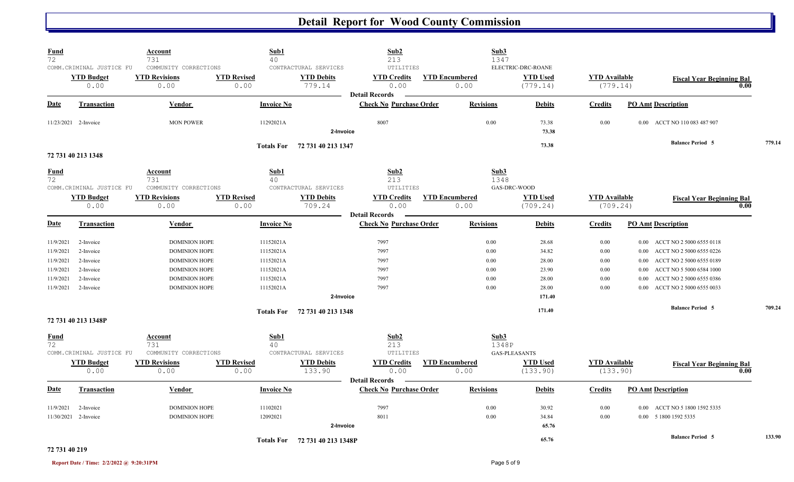| <b>Fund</b><br>$\overline{72}$ |                           | <b>Account</b><br>731        | Sub1<br>40         |                               | Sub2<br>213                                             | Sub3<br>1347          |                      |                      |                                      |        |
|--------------------------------|---------------------------|------------------------------|--------------------|-------------------------------|---------------------------------------------------------|-----------------------|----------------------|----------------------|--------------------------------------|--------|
|                                | COMM. CRIMINAL JUSTICE FU | COMMUNITY CORRECTIONS        |                    | CONTRACTURAL SERVICES         | ${\tt UTILITIES}$                                       |                       | ELECTRIC-DRC-ROANE   |                      |                                      |        |
|                                | <b>YTD Budget</b>         | <b>YTD Revisions</b>         | <b>YTD Revised</b> | <b>YTD Debits</b>             | <b>YTD Credits</b>                                      | <b>YTD Encumbered</b> | <b>YTD Used</b>      | <b>YTD Available</b> | <b>Fiscal Year Beginning Bal</b>     |        |
|                                | 0.00                      | 0.00                         | 0.00               | 779.14                        | 0.00                                                    | 0.00                  | (779.14)             | (779.14)             | 0.00                                 |        |
| Date                           | <b>Transaction</b>        | Vendor                       | <b>Invoice No</b>  |                               | <b>Detail Records</b><br><b>Check No Purchase Order</b> | <b>Revisions</b>      | <b>Debits</b>        | <b>Credits</b>       | <b>PO Amt Description</b>            |        |
|                                | 11/23/2021 2-Invoice      | <b>MON POWER</b>             | 11292021A          |                               | 8007                                                    | 0.00                  | 73.38                | 0.00                 | 0.00 ACCT NO 110 083 487 907         |        |
|                                |                           |                              |                    | 2-Invoice                     |                                                         |                       | 73.38                |                      |                                      |        |
|                                |                           |                              | <b>Totals For</b>  | 72 731 40 213 1347            |                                                         |                       | 73.38                |                      | <b>Balance Period 5</b>              | 779.14 |
|                                | 72 731 40 213 1348        |                              |                    |                               |                                                         |                       |                      |                      |                                      |        |
| Fund                           |                           | Account                      | Sub1               |                               | Sub2                                                    | Sub3                  |                      |                      |                                      |        |
| 72                             | COMM.CRIMINAL JUSTICE FU  | 731<br>COMMUNITY CORRECTIONS | 40                 | CONTRACTURAL SERVICES         | 213<br><b>UTILITIES</b>                                 | 1348                  | GAS-DRC-WOOD         |                      |                                      |        |
|                                | <b>YTD Budget</b>         | <b>YTD Revisions</b>         | <b>YTD Revised</b> | <b>YTD Debits</b>             | <b>YTD Credits</b>                                      | <b>YTD Encumbered</b> | <b>YTD Used</b>      | <b>YTD Available</b> | <b>Fiscal Year Beginning Bal</b>     |        |
|                                | 0.00                      | 0.00                         | 0.00               | 709.24                        | 0.00<br><b>Detail Records</b>                           | 0.00                  | (709.24)             | (709.24)             | 0.00                                 |        |
| <b>Date</b>                    | Transaction               | <b>Vendor</b>                | <b>Invoice No</b>  |                               | <b>Check No Purchase Order</b>                          | <b>Revisions</b>      | <b>Debits</b>        | <b>Credits</b>       | <b>PO Amt Description</b>            |        |
| 11/9/2021                      | 2-Invoice                 | <b>DOMINION HOPE</b>         | 11152021A          |                               | 7997                                                    | 0.00                  | 28.68                | 0.00                 | ACCT NO 2 5000 6555 0118<br>$0.00\,$ |        |
| 11/9/2021                      | 2-Invoice                 | <b>DOMINION HOPE</b>         | 11152021A          |                               | 7997                                                    | 0.00                  | 34.82                | 0.00                 | ACCT NO 2 5000 6555 0226<br>$0.00\,$ |        |
| 11/9/2021                      | 2-Invoice                 | <b>DOMINION HOPE</b>         | 11152021A          |                               | 7997                                                    | 0.00                  | 28.00                | 0.00                 | ACCT NO 2 5000 6555 0189<br>0.00     |        |
| 11/9/2021                      | 2-Invoice                 | <b>DOMINION HOPE</b>         | 11152021A          |                               | 7997                                                    | 0.00                  | 23.90                | 0.00                 | ACCT NO 5 5000 6584 1000<br>0.00     |        |
| 11/9/2021                      | 2-Invoice                 | <b>DOMINION HOPE</b>         | 11152021A          |                               | 7997                                                    | 0.00                  | 28.00                | 0.00                 | ACCT NO 2 5000 6555 0386<br>0.00     |        |
| 11/9/2021                      | 2-Invoice                 | <b>DOMINION HOPE</b>         | 11152021A          |                               | 7997                                                    | 0.00                  | 28.00                | 0.00                 | ACCT NO 2 5000 6555 0033<br>0.00     |        |
|                                |                           |                              |                    | 2-Invoice                     |                                                         |                       | 171.40               |                      |                                      |        |
|                                |                           |                              |                    | Totals For 72 731 40 213 1348 |                                                         |                       | 171.40               |                      | <b>Balance Period 5</b>              | 709.24 |
|                                | 72 731 40 213 1348P       |                              |                    |                               |                                                         |                       |                      |                      |                                      |        |
| Fund<br>72                     |                           | Account<br>731               | Sub1<br>40         |                               | Sub2<br>213                                             | Sub3<br>1348P         |                      |                      |                                      |        |
|                                | COMM.CRIMINAL JUSTICE FU  | COMMUNITY CORRECTIONS        |                    | CONTRACTURAL SERVICES         | UTILITIES                                               |                       | <b>GAS-PLEASANTS</b> |                      |                                      |        |
|                                | <b>YTD Budget</b>         | <b>YTD Revisions</b>         | <b>YTD Revised</b> | <b>YTD Debits</b>             | <b>YTD Credits</b>                                      | <b>YTD Encumbered</b> | <b>YTD Used</b>      | <b>YTD Available</b> | <b>Fiscal Year Beginning Bal</b>     |        |
|                                | 0.00                      | 0.00                         | 0.00               | 133.90                        | 0.00                                                    | 0.00                  | (133.90)             | (133.90)             | 0.00                                 |        |
| <b>Date</b>                    | <b>Transaction</b>        | Vendor                       | <b>Invoice No</b>  |                               | <b>Detail Records</b><br><b>Check No Purchase Order</b> | <b>Revisions</b>      | <b>Debits</b>        | <b>Credits</b>       | <b>PO Amt Description</b>            |        |
| 11/9/2021                      | 2-Invoice                 | <b>DOMINION HOPE</b>         | 11102021           |                               | 7997                                                    | 0.00                  | 30.92                | 0.00                 | ACCT NO 5 1800 1592 5335<br>$0.00\,$ |        |
|                                | 11/30/2021 2-Invoice      | <b>DOMINION HOPE</b>         | 12092021           |                               | 8011                                                    | 0.00                  | 34.84                | 0.00                 | 0.00 5 1800 1592 5335                |        |
|                                |                           |                              |                    | 2-Invoice                     |                                                         |                       | 65.76                |                      |                                      |        |
|                                |                           |                              | <b>Totals For</b>  | 72 731 40 213 1348P           |                                                         |                       | 65.76                |                      | <b>Balance Period 5</b>              | 133.90 |

### **72 731 40 219**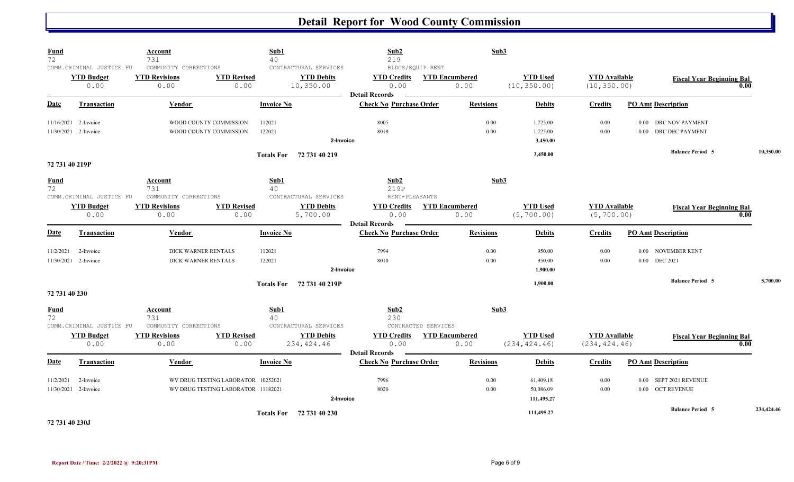| <b>Fund</b><br>72 | COMM.CRIMINAL JUSTICE FU                     | <b>Account</b><br>731<br>COMMUNITY CORRECTIONS |                                                                          | Sub1<br>40               | CONTRACTURAL SERVICES            | Sub2<br>219<br>BLDGS/EQUIP RENT                         |                     | Sub3                          |                                      |                                       |                                                  |      |            |
|-------------------|----------------------------------------------|------------------------------------------------|--------------------------------------------------------------------------|--------------------------|----------------------------------|---------------------------------------------------------|---------------------|-------------------------------|--------------------------------------|---------------------------------------|--------------------------------------------------|------|------------|
|                   | <b>YTD Budget</b><br>0.00                    | <b>YTD Revisions</b><br>0.00                   | <b>YTD Revised</b><br>0.00                                               |                          | <b>YTD Debits</b><br>10,350.00   | <b>YTD Credits</b><br>0.00<br><b>Detail Records</b>     |                     | <b>YTD Encumbered</b><br>0.00 | <b>YTD Used</b><br>(10, 350.00)      | <b>YTD</b> Available<br>(10, 350.00)  | <b>Fiscal Year Beginning Bal</b>                 | 0.00 |            |
| Date              | <b>Transaction</b>                           | <b>Vendor</b>                                  |                                                                          | <b>Invoice No</b>        |                                  | <b>Check No Purchase Order</b>                          |                     | <b>Revisions</b>              | <b>Debits</b>                        | <b>Credits</b>                        | <b>PO Amt Description</b>                        |      |            |
|                   | 11/16/2021 2-Invoice<br>11/30/2021 2-Invoice |                                                | WOOD COUNTY COMMISSION<br>WOOD COUNTY COMMISSION                         | 112021<br>122021         | 2-Invoice                        | 8005<br>8019                                            |                     | 0.00<br>0.00                  | 1,725.00<br>1,725.00<br>3,450.00     | 0.00<br>0.00                          | 0.00 DRC NOV PAYMENT<br>0.00 DRC DEC PAYMENT     |      |            |
| 72 731 40 219P    |                                              |                                                |                                                                          | Totals For 72 731 40 219 |                                  |                                                         |                     |                               | 3,450.00                             |                                       | <b>Balance Period 5</b>                          |      | 10,350.00  |
| <b>Fund</b><br>72 | COMM. CRIMINAL JUSTICE FU                    | Account<br>731<br>COMMUNITY CORRECTIONS        |                                                                          | Sub1<br>40               | CONTRACTURAL SERVICES            | Sub2<br>219P<br>RENT-PLEASANTS                          |                     | Sub3                          |                                      |                                       |                                                  |      |            |
|                   | <b>YTD Budget</b><br>0.00                    | <b>YTD Revisions</b><br>0.00                   | <b>YTD Revised</b><br>0.00                                               |                          | <b>YTD Debits</b><br>5,700.00    | <b>YTD Credits</b><br>0.00                              |                     | <b>YTD Encumbered</b><br>0.00 | <b>YTD Used</b><br>(5, 700.00)       | <b>YTD</b> Available<br>(5, 700.00)   | <b>Fiscal Year Beginning Bal</b>                 | 0.00 |            |
| Date              | <b>Transaction</b>                           | Vendor                                         |                                                                          | <b>Invoice No</b>        |                                  | <b>Detail Records</b><br><b>Check No Purchase Order</b> |                     | <b>Revisions</b>              | <b>Debits</b>                        | <b>Credits</b>                        | <b>PO Amt Description</b>                        |      |            |
| 11/2/2021         | 2-Invoice<br>11/30/2021 2-Invoice            |                                                | DICK WARNER RENTALS<br>DICK WARNER RENTALS                               | 112021<br>122021         | 2-Invoice                        | 7994<br>8010                                            |                     | 0.00<br>0.00                  | 950.00<br>950.00<br>1,900.00         | 0.00<br>0.00                          | NOVEMBER RENT<br>0.00<br><b>DEC 2021</b><br>0.00 |      |            |
| 72 731 40 230     |                                              |                                                |                                                                          | <b>Totals For</b>        | 72 731 40 219P                   |                                                         |                     |                               | 1,900.00                             |                                       | <b>Balance Period 5</b>                          |      | 5,700.00   |
| <b>Fund</b><br>72 | COMM.CRIMINAL JUSTICE FU                     | Account<br>731<br>COMMUNITY CORRECTIONS        |                                                                          | Sub1<br>40               | CONTRACTURAL SERVICES            | Sub2<br>230                                             | CONTRACTED SERVICES | Sub3                          |                                      |                                       |                                                  |      |            |
|                   | <b>YTD Budget</b><br>0.00                    | <b>YTD Revisions</b><br>0.00                   | <b>YTD Revised</b><br>0.00                                               |                          | <b>YTD Debits</b><br>234, 424.46 | <b>YTD Credits</b><br>0.00                              |                     | <b>YTD Encumbered</b><br>0.00 | <b>YTD Used</b><br>(234, 424.46)     | <b>YTD Available</b><br>(234, 424.46) | <b>Fiscal Year Beginning Bal</b>                 | 0.00 |            |
| Date              | <b>Transaction</b>                           | <b>Vendor</b>                                  |                                                                          | <b>Invoice No</b>        |                                  | <b>Detail Records</b><br><b>Check No Purchase Order</b> |                     | <b>Revisions</b>              | <b>Debits</b>                        | <b>Credits</b>                        | <b>PO Amt Description</b>                        |      |            |
| 11/2/2021         | 2-Invoice<br>11/30/2021 2-Invoice            |                                                | WV DRUG TESTING LABORATOR 10252021<br>WV DRUG TESTING LABORATOR 11182021 |                          | 2-Invoice                        | 7996<br>8020                                            |                     | 0.00<br>0.00                  | 61,409.18<br>50,086.09<br>111,495.27 | 0.00<br>0.00                          | SEPT 2021 REVENUE<br>0.00<br>0.00 OCT REVENUE    |      |            |
|                   |                                              |                                                |                                                                          | Totals For 72 731 40 230 |                                  |                                                         |                     |                               | 111,495.27                           |                                       | <b>Balance Period 5</b>                          |      | 234,424.46 |

**72 731 40 230J**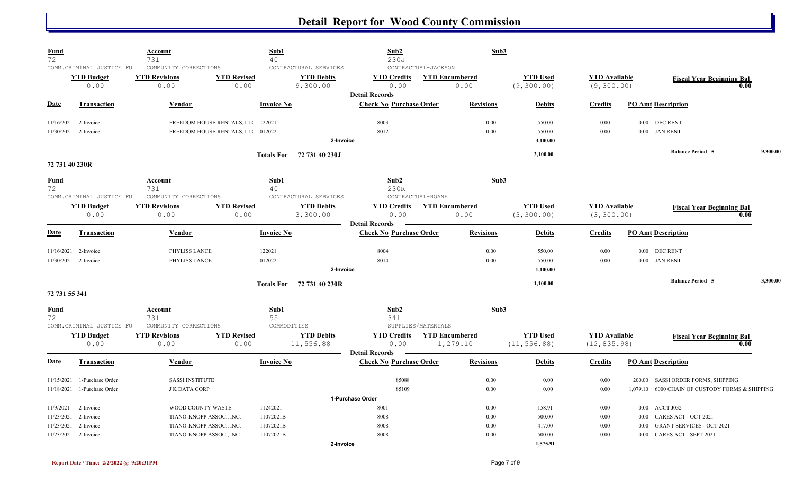| <b>Fund</b><br>72                   |                                                       | <u>Account</u><br>731                                 | Sub1<br>40                        |                                                        | Sub2<br>230J                                            |                                                      | Sub3                            |                                      |                                          |                                                                              |
|-------------------------------------|-------------------------------------------------------|-------------------------------------------------------|-----------------------------------|--------------------------------------------------------|---------------------------------------------------------|------------------------------------------------------|---------------------------------|--------------------------------------|------------------------------------------|------------------------------------------------------------------------------|
|                                     | COMM.CRIMINAL JUSTICE FU<br><b>YTD Budget</b><br>0.00 | COMMUNITY CORRECTIONS<br><b>YTD Revisions</b><br>0.00 | <b>YTD Revised</b><br>0.00        | CONTRACTURAL SERVICES<br><b>YTD Debits</b><br>9,300.00 | <b>YTD Credits</b><br>0.00                              | CONTRACTUAL-JACKSON<br><b>YTD Encumbered</b><br>0.00 | <b>YTD Used</b><br>(9, 300.00)  | <b>YTD Available</b><br>(9, 300.00)  |                                          | <b>Fiscal Year Beginning Bal</b><br>0.00                                     |
| <b>Date</b>                         | <b>Transaction</b>                                    | Vendor                                                | <b>Invoice No</b>                 |                                                        | <b>Detail Records</b><br><b>Check No Purchase Order</b> | <b>Revisions</b>                                     | <b>Debits</b>                   | <b>Credits</b>                       | <b>PO Amt Description</b>                |                                                                              |
| 11/16/2021                          | 2-Invoice                                             |                                                       | FREEDOM HOUSE RENTALS, LLC 122021 |                                                        | 8003                                                    | 0.00                                                 | 1,550.00                        | 0.00                                 | 0.00 DEC RENT                            |                                                                              |
|                                     | 11/30/2021 2-Invoice                                  |                                                       | FREEDOM HOUSE RENTALS, LLC 012022 | 2-Invoice                                              | 8012                                                    | 0.00                                                 | 1,550.00<br>3,100.00            | 0.00                                 | 0.00 JAN RENT                            |                                                                              |
|                                     |                                                       |                                                       | <b>Totals For</b>                 | 72 731 40 230J                                         |                                                         |                                                      | 3,100.00                        |                                      | <b>Balance Period 5</b>                  | 9,300.00                                                                     |
| 72 731 40 230R<br><b>Fund</b><br>72 |                                                       | <b>Account</b><br>731                                 | Sub1<br>40                        |                                                        | Sub2<br>230R                                            |                                                      | Sub3                            |                                      |                                          |                                                                              |
|                                     | COMM.CRIMINAL JUSTICE FU<br><b>YTD Budget</b><br>0.00 | COMMUNITY CORRECTIONS<br><b>YTD Revisions</b><br>0.00 | <b>YTD Revised</b><br>0.00        | CONTRACTURAL SERVICES<br><b>YTD Debits</b><br>3,300.00 | <b>YTD Credits</b><br>0.00<br><b>Detail Records</b>     | CONTRACTUAL-ROANE<br><b>YTD Encumbered</b><br>0.00   | <b>YTD Used</b><br>(3, 300.00)  | <b>YTD</b> Available<br>(3, 300.00)  |                                          | <b>Fiscal Year Beginning Bal</b><br>0.00                                     |
| Date                                | <b>Transaction</b>                                    | Vendor                                                | <b>Invoice No</b>                 |                                                        | <b>Check No Purchase Order</b>                          | <b>Revisions</b>                                     | <b>Debits</b>                   | <b>Credits</b>                       | <b>PO Amt Description</b>                |                                                                              |
| 11/16/2021                          | 2-Invoice<br>11/30/2021 2-Invoice                     | PHYLISS LANCE<br>PHYLISS LANCE                        | 122021<br>012022                  | 2-Invoice                                              | 8004<br>8014                                            | 0.00<br>0.00                                         | 550.00<br>550.00<br>1,100.00    | 0.00<br>0.00                         | 0.00<br><b>DEC RENT</b><br>0.00 JAN RENT |                                                                              |
| 72 731 55 341                       |                                                       |                                                       |                                   | Totals For 72 731 40 230R                              |                                                         |                                                      | 1.100.00                        |                                      | <b>Balance Period 5</b>                  | 3.300.00                                                                     |
| <b>Fund</b><br>72                   | COMM.CRIMINAL JUSTICE FU                              | Account<br>731<br>COMMUNITY CORRECTIONS               | Sub1<br>55<br>COMMODITIES         |                                                        | Sub2<br>341                                             | SUPPLIES/MATERIALS                                   | Sub3                            |                                      |                                          |                                                                              |
|                                     | <b>YTD Budget</b><br>0.00                             | <b>YTD Revisions</b><br>0.00                          | <b>YTD Revised</b><br>0.00        | <b>YTD Debits</b><br>11,556.88                         | <b>YTD Credits</b><br>0.00<br><b>Detail Records</b>     | <b>YTD</b> Encumbered<br>1,279.10                    | <b>YTD Used</b><br>(11, 556.88) | <b>YTD</b> Available<br>(12, 835.98) |                                          | <b>Fiscal Year Beginning Bal</b><br>0.00                                     |
| Date                                | <b>Transaction</b>                                    | Vendor                                                | <b>Invoice No</b>                 |                                                        | <b>Check No Purchase Order</b>                          | <b>Revisions</b>                                     | <b>Debits</b>                   | <b>Credits</b>                       | <b>PO Amt Description</b>                |                                                                              |
| 11/15/2021<br>11/18/2021            | 1-Purchase Order<br>1-Purchase Order                  | <b>SASSI INSTITUTE</b><br><b>J K DATA CORP</b>        |                                   |                                                        | 85088<br>85109                                          | 0.00<br>0.00                                         | 0.00<br>0.00                    | 0.00<br>0.00                         | 200.00<br>1,079.10                       | <b>SASSI ORDER FORMS, SHIPPING</b><br>6000 CHAIN OF CUSTODY FORMS & SHIPPING |
|                                     |                                                       |                                                       |                                   |                                                        | 1-Purchase Order                                        |                                                      |                                 |                                      |                                          |                                                                              |
| 11/9/2021                           | 2-Invoice                                             | WOOD COUNTY WASTE                                     | 11242021                          |                                                        | 8001                                                    | 0.00                                                 | 158.91                          | $0.00\,$                             | $0.00\,$<br>ACCT J032                    |                                                                              |
| 11/23/2021                          | 2-Invoice                                             | TIANO-KNOPP ASSOC., INC.                              | 11072021B                         |                                                        | 8008                                                    | 0.00                                                 | 500.00                          | $0.00\,$                             | CARES ACT - OCT 2021<br>0.00             |                                                                              |
| 11/23/2021                          | 2-Invoice                                             | TIANO-KNOPP ASSOC., INC.                              | 11072021B                         |                                                        | 8008                                                    | 0.00                                                 | 417.00                          | 0.00                                 | <b>GRANT SERVICES - OCT 2021</b><br>0.00 |                                                                              |
|                                     | 11/23/2021 2-Invoice                                  | TIANO-KNOPP ASSOC., INC.                              | 11072021B                         | 2-Invoice                                              | 8008                                                    | 0.00                                                 | 500.00<br>1,575.91              | 0.00                                 | <b>CARES ACT - SEPT 2021</b><br>0.00     |                                                                              |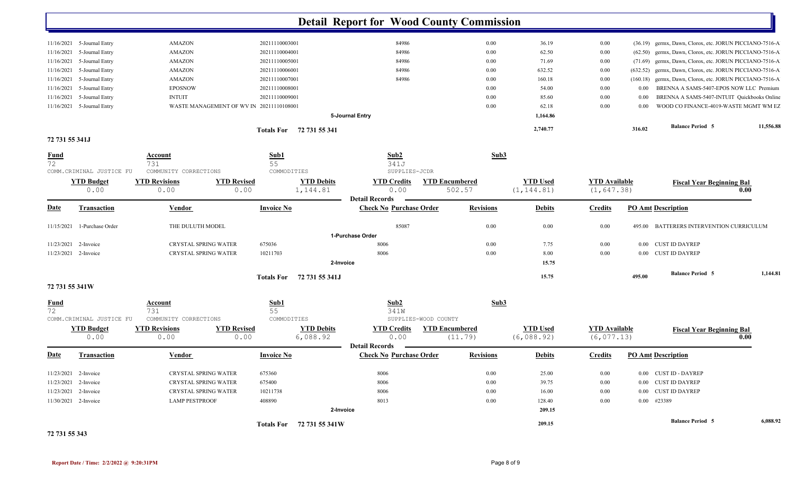| <b>Detail Report for Wood County Commission</b><br>20211110003001<br>36.19<br>11/16/2021 5-Journal Entry<br><b>AMAZON</b><br>84986<br>$0.00\,$<br>$0.00\,$<br>germx, Dawn, Clorox, etc. JORUN PICCIANO-7516-A<br>(36.19)<br>84986<br>0.00<br>62.50<br>0.00<br>germx, Dawn, Clorox, etc. JORUN PICCIANO-7516-A<br>11/16/2021<br>5-Journal Entry<br><b>AMAZON</b><br>20211110004001<br>(62.50)<br>germx, Dawn, Clorox, etc. JORUN PICCIANO-7516-A<br>11/16/2021<br>5-Journal Entry<br>AMAZON<br>20211110005001<br>84986<br>$0.00\,$<br>71.69<br>0.00<br>(71.69)<br>11/16/2021<br>5-Journal Entry<br><b>AMAZON</b><br>20211110006001<br>84986<br>$0.00\,$<br>632.52<br>0.00<br>germx, Dawn, Clorox, etc. JORUN PICCIANO-7516-A<br>(632.52)<br>84986<br>11/16/2021<br>5-Journal Entry<br>AMAZON<br>20211110007001<br>$0.00\,$<br>160.18<br>0.00<br>germx, Dawn, Clorox, etc. JORUN PICCIANO-7516-A<br>(160.18)<br>5-Journal Entry<br><b>EPOSNOW</b><br>BRENNA A SAMS-5407-EPOS NOW LLC Premium<br>11/16/2021<br>20211110008001<br>$0.00\,$<br>54.00<br>0.00<br>$0.00\,$<br>11/16/2021<br>5-Journal Entry<br><b>INTUIT</b><br>20211110009001<br>$0.00\,$<br>85.60<br>0.00<br>BRENNA A SAMS-5407-INTUIT Quickbooks Online<br>$0.00\,$<br>WOOD CO FINANCE-4019-WASTE MGMT WM EZ<br>11/16/2021 5-Journal Entry<br>WASTE MANAGEMENT OF WV IN 20211110108001<br>0.00<br>62.18<br>0.00<br>$0.00\,$<br>1,164.86<br>5-Journal Entry<br><b>Balance Period 5</b><br>2,740.77<br>316.02<br>Totals For 72 731 55 341<br>72 731 55 341J<br>Sub2<br>Sub3<br>Sub1<br><u>Fund</u><br><b>Account</b><br>72<br>55<br>731<br>341J<br>COMM.CRIMINAL JUSTICE FU<br>COMMODITIES<br>SUPPLIES-JCDR<br>COMMUNITY CORRECTIONS<br><b>YTD Debits</b><br><b>YTD Encumbered</b><br><b>YTD Used</b><br><b>YTD</b> Available<br><b>YTD Budget</b><br><b>YTD Revisions</b><br><b>YTD</b> Revised<br><b>YTD Credits</b><br><b>Fiscal Year Beginning Bal</b><br>(1, 647.38)<br>0.00<br>0.00<br>0.00<br>1,144.81<br>502.57<br>(1, 144.81)<br>0.00<br>0.00<br><b>Detail Records</b><br><b>Check No Purchase Order</b><br><b>PO Amt Description</b><br><u>Date</u><br><b>Vendor</b><br><b>Invoice No</b><br><b>Revisions</b><br><b>Debits</b><br><b>Credits</b><br><b>Transaction</b><br>THE DULUTH MODEL<br>85087<br>0.00<br>0.00<br>11/15/2021<br>1-Purchase Order<br>$0.00\,$<br>BATTERERS INTERVENTION CURRICULUM<br>495.00<br>1-Purchase Order<br>CRYSTAL SPRING WATER<br>675036<br>8006<br>0.00<br>0.00<br><b>CUST ID DAYREP</b><br>11/23/2021 2-Invoice<br>7.75<br>$0.00\,$<br>CRYSTAL SPRING WATER<br>10211703<br>8006<br>0.00<br>8.00<br>0.00 CUST ID DAYREP<br>11/23/2021 2-Invoice<br>0.00<br>15.75<br>2-Invoice<br><b>Balance Period 5</b><br>15.75<br>495.00<br>Totals For 72 731 55 341J<br>72 731 55 341W<br>Sub1<br>Sub2<br>Sub3<br>$\frac{Fund}{72}$<br>Account<br>55<br>731<br>341W<br>COMMUNITY CORRECTIONS<br>COMMODITIES<br>SUPPLIES-WOOD COUNTY<br>COMM.CRIMINAL JUSTICE FU<br><b>YTD Revised</b><br><b>YTD Debits</b><br><b>YTD Used</b><br><b>YTD Budget</b><br><b>YTD Revisions</b><br><b>YTD Credits</b><br><b>YTD Encumbered</b><br><b>YTD</b> Available<br><b>Fiscal Year Beginning Bal</b><br>0.00<br>0.00<br>6,088.92<br>0.00<br>(6,088.92)<br>(6, 077.13)<br>0.00<br>(11.79)<br>0.00<br><b>Detail Records</b><br><b>Date</b><br><b>Check No Purchase Order</b><br><b>Invoice No</b><br><b>Debits</b><br><b>PO Amt Description</b><br><b>Transaction</b><br>Vendor<br><b>Revisions</b><br><b>Credits</b><br>11/23/2021 2-Invoice<br>CRYSTAL SPRING WATER<br>675360<br>8006<br>$0.00\,$<br>25.00<br>$0.00\,$<br>0.00 CUST ID - DAYREP<br>675400<br>8006<br>39.75<br>11/23/2021 2-Invoice<br>CRYSTAL SPRING WATER<br>$0.00\,$<br>0.00<br>0.00 CUST ID DAYREP |                      |                       |          |           |          |        |          |                         |           |
|-----------------------------------------------------------------------------------------------------------------------------------------------------------------------------------------------------------------------------------------------------------------------------------------------------------------------------------------------------------------------------------------------------------------------------------------------------------------------------------------------------------------------------------------------------------------------------------------------------------------------------------------------------------------------------------------------------------------------------------------------------------------------------------------------------------------------------------------------------------------------------------------------------------------------------------------------------------------------------------------------------------------------------------------------------------------------------------------------------------------------------------------------------------------------------------------------------------------------------------------------------------------------------------------------------------------------------------------------------------------------------------------------------------------------------------------------------------------------------------------------------------------------------------------------------------------------------------------------------------------------------------------------------------------------------------------------------------------------------------------------------------------------------------------------------------------------------------------------------------------------------------------------------------------------------------------------------------------------------------------------------------------------------------------------------------------------------------------------------------------------------------------------------------------------------------------------------------------------------------------------------------------------------------------------------------------------------------------------------------------------------------------------------------------------------------------------------------------------------------------------------------------------------------------------------------------------------------------------------------------------------------------------------------------------------------------------------------------------------------------------------------------------------------------------------------------------------------------------------------------------------------------------------------------------------------------------------------------------------------------------------------------------------------------------------------------------------------------------------------------------------------------------------------------------------------------------------------------------------------------------------------------------------------------------------------------------------------------------------------------------------------------------------------------------------------------------------------------------------------------------------------------------------------------------------------------------------------------------------------------------------------------------------------------------------------------------------------------------------------------------|----------------------|-----------------------|----------|-----------|----------|--------|----------|-------------------------|-----------|
|                                                                                                                                                                                                                                                                                                                                                                                                                                                                                                                                                                                                                                                                                                                                                                                                                                                                                                                                                                                                                                                                                                                                                                                                                                                                                                                                                                                                                                                                                                                                                                                                                                                                                                                                                                                                                                                                                                                                                                                                                                                                                                                                                                                                                                                                                                                                                                                                                                                                                                                                                                                                                                                                                                                                                                                                                                                                                                                                                                                                                                                                                                                                                                                                                                                                                                                                                                                                                                                                                                                                                                                                                                                                                                                                               |                      |                       |          |           |          |        |          |                         |           |
|                                                                                                                                                                                                                                                                                                                                                                                                                                                                                                                                                                                                                                                                                                                                                                                                                                                                                                                                                                                                                                                                                                                                                                                                                                                                                                                                                                                                                                                                                                                                                                                                                                                                                                                                                                                                                                                                                                                                                                                                                                                                                                                                                                                                                                                                                                                                                                                                                                                                                                                                                                                                                                                                                                                                                                                                                                                                                                                                                                                                                                                                                                                                                                                                                                                                                                                                                                                                                                                                                                                                                                                                                                                                                                                                               |                      |                       |          |           |          |        |          |                         |           |
|                                                                                                                                                                                                                                                                                                                                                                                                                                                                                                                                                                                                                                                                                                                                                                                                                                                                                                                                                                                                                                                                                                                                                                                                                                                                                                                                                                                                                                                                                                                                                                                                                                                                                                                                                                                                                                                                                                                                                                                                                                                                                                                                                                                                                                                                                                                                                                                                                                                                                                                                                                                                                                                                                                                                                                                                                                                                                                                                                                                                                                                                                                                                                                                                                                                                                                                                                                                                                                                                                                                                                                                                                                                                                                                                               |                      |                       |          |           |          |        |          |                         |           |
|                                                                                                                                                                                                                                                                                                                                                                                                                                                                                                                                                                                                                                                                                                                                                                                                                                                                                                                                                                                                                                                                                                                                                                                                                                                                                                                                                                                                                                                                                                                                                                                                                                                                                                                                                                                                                                                                                                                                                                                                                                                                                                                                                                                                                                                                                                                                                                                                                                                                                                                                                                                                                                                                                                                                                                                                                                                                                                                                                                                                                                                                                                                                                                                                                                                                                                                                                                                                                                                                                                                                                                                                                                                                                                                                               |                      |                       |          |           |          |        |          |                         |           |
|                                                                                                                                                                                                                                                                                                                                                                                                                                                                                                                                                                                                                                                                                                                                                                                                                                                                                                                                                                                                                                                                                                                                                                                                                                                                                                                                                                                                                                                                                                                                                                                                                                                                                                                                                                                                                                                                                                                                                                                                                                                                                                                                                                                                                                                                                                                                                                                                                                                                                                                                                                                                                                                                                                                                                                                                                                                                                                                                                                                                                                                                                                                                                                                                                                                                                                                                                                                                                                                                                                                                                                                                                                                                                                                                               |                      |                       |          |           |          |        |          |                         |           |
|                                                                                                                                                                                                                                                                                                                                                                                                                                                                                                                                                                                                                                                                                                                                                                                                                                                                                                                                                                                                                                                                                                                                                                                                                                                                                                                                                                                                                                                                                                                                                                                                                                                                                                                                                                                                                                                                                                                                                                                                                                                                                                                                                                                                                                                                                                                                                                                                                                                                                                                                                                                                                                                                                                                                                                                                                                                                                                                                                                                                                                                                                                                                                                                                                                                                                                                                                                                                                                                                                                                                                                                                                                                                                                                                               |                      |                       |          |           |          |        |          |                         |           |
|                                                                                                                                                                                                                                                                                                                                                                                                                                                                                                                                                                                                                                                                                                                                                                                                                                                                                                                                                                                                                                                                                                                                                                                                                                                                                                                                                                                                                                                                                                                                                                                                                                                                                                                                                                                                                                                                                                                                                                                                                                                                                                                                                                                                                                                                                                                                                                                                                                                                                                                                                                                                                                                                                                                                                                                                                                                                                                                                                                                                                                                                                                                                                                                                                                                                                                                                                                                                                                                                                                                                                                                                                                                                                                                                               |                      |                       |          |           |          |        |          |                         |           |
|                                                                                                                                                                                                                                                                                                                                                                                                                                                                                                                                                                                                                                                                                                                                                                                                                                                                                                                                                                                                                                                                                                                                                                                                                                                                                                                                                                                                                                                                                                                                                                                                                                                                                                                                                                                                                                                                                                                                                                                                                                                                                                                                                                                                                                                                                                                                                                                                                                                                                                                                                                                                                                                                                                                                                                                                                                                                                                                                                                                                                                                                                                                                                                                                                                                                                                                                                                                                                                                                                                                                                                                                                                                                                                                                               |                      |                       |          |           |          |        |          |                         |           |
|                                                                                                                                                                                                                                                                                                                                                                                                                                                                                                                                                                                                                                                                                                                                                                                                                                                                                                                                                                                                                                                                                                                                                                                                                                                                                                                                                                                                                                                                                                                                                                                                                                                                                                                                                                                                                                                                                                                                                                                                                                                                                                                                                                                                                                                                                                                                                                                                                                                                                                                                                                                                                                                                                                                                                                                                                                                                                                                                                                                                                                                                                                                                                                                                                                                                                                                                                                                                                                                                                                                                                                                                                                                                                                                                               |                      |                       |          |           |          |        |          |                         |           |
|                                                                                                                                                                                                                                                                                                                                                                                                                                                                                                                                                                                                                                                                                                                                                                                                                                                                                                                                                                                                                                                                                                                                                                                                                                                                                                                                                                                                                                                                                                                                                                                                                                                                                                                                                                                                                                                                                                                                                                                                                                                                                                                                                                                                                                                                                                                                                                                                                                                                                                                                                                                                                                                                                                                                                                                                                                                                                                                                                                                                                                                                                                                                                                                                                                                                                                                                                                                                                                                                                                                                                                                                                                                                                                                                               |                      |                       |          |           |          |        |          |                         | 11,556.88 |
|                                                                                                                                                                                                                                                                                                                                                                                                                                                                                                                                                                                                                                                                                                                                                                                                                                                                                                                                                                                                                                                                                                                                                                                                                                                                                                                                                                                                                                                                                                                                                                                                                                                                                                                                                                                                                                                                                                                                                                                                                                                                                                                                                                                                                                                                                                                                                                                                                                                                                                                                                                                                                                                                                                                                                                                                                                                                                                                                                                                                                                                                                                                                                                                                                                                                                                                                                                                                                                                                                                                                                                                                                                                                                                                                               |                      |                       |          |           |          |        |          |                         |           |
|                                                                                                                                                                                                                                                                                                                                                                                                                                                                                                                                                                                                                                                                                                                                                                                                                                                                                                                                                                                                                                                                                                                                                                                                                                                                                                                                                                                                                                                                                                                                                                                                                                                                                                                                                                                                                                                                                                                                                                                                                                                                                                                                                                                                                                                                                                                                                                                                                                                                                                                                                                                                                                                                                                                                                                                                                                                                                                                                                                                                                                                                                                                                                                                                                                                                                                                                                                                                                                                                                                                                                                                                                                                                                                                                               |                      |                       |          |           |          |        |          |                         |           |
|                                                                                                                                                                                                                                                                                                                                                                                                                                                                                                                                                                                                                                                                                                                                                                                                                                                                                                                                                                                                                                                                                                                                                                                                                                                                                                                                                                                                                                                                                                                                                                                                                                                                                                                                                                                                                                                                                                                                                                                                                                                                                                                                                                                                                                                                                                                                                                                                                                                                                                                                                                                                                                                                                                                                                                                                                                                                                                                                                                                                                                                                                                                                                                                                                                                                                                                                                                                                                                                                                                                                                                                                                                                                                                                                               |                      |                       |          |           |          |        |          |                         |           |
|                                                                                                                                                                                                                                                                                                                                                                                                                                                                                                                                                                                                                                                                                                                                                                                                                                                                                                                                                                                                                                                                                                                                                                                                                                                                                                                                                                                                                                                                                                                                                                                                                                                                                                                                                                                                                                                                                                                                                                                                                                                                                                                                                                                                                                                                                                                                                                                                                                                                                                                                                                                                                                                                                                                                                                                                                                                                                                                                                                                                                                                                                                                                                                                                                                                                                                                                                                                                                                                                                                                                                                                                                                                                                                                                               |                      |                       |          |           |          |        |          |                         |           |
|                                                                                                                                                                                                                                                                                                                                                                                                                                                                                                                                                                                                                                                                                                                                                                                                                                                                                                                                                                                                                                                                                                                                                                                                                                                                                                                                                                                                                                                                                                                                                                                                                                                                                                                                                                                                                                                                                                                                                                                                                                                                                                                                                                                                                                                                                                                                                                                                                                                                                                                                                                                                                                                                                                                                                                                                                                                                                                                                                                                                                                                                                                                                                                                                                                                                                                                                                                                                                                                                                                                                                                                                                                                                                                                                               |                      |                       |          |           |          |        |          |                         |           |
|                                                                                                                                                                                                                                                                                                                                                                                                                                                                                                                                                                                                                                                                                                                                                                                                                                                                                                                                                                                                                                                                                                                                                                                                                                                                                                                                                                                                                                                                                                                                                                                                                                                                                                                                                                                                                                                                                                                                                                                                                                                                                                                                                                                                                                                                                                                                                                                                                                                                                                                                                                                                                                                                                                                                                                                                                                                                                                                                                                                                                                                                                                                                                                                                                                                                                                                                                                                                                                                                                                                                                                                                                                                                                                                                               |                      |                       |          |           |          |        |          |                         |           |
|                                                                                                                                                                                                                                                                                                                                                                                                                                                                                                                                                                                                                                                                                                                                                                                                                                                                                                                                                                                                                                                                                                                                                                                                                                                                                                                                                                                                                                                                                                                                                                                                                                                                                                                                                                                                                                                                                                                                                                                                                                                                                                                                                                                                                                                                                                                                                                                                                                                                                                                                                                                                                                                                                                                                                                                                                                                                                                                                                                                                                                                                                                                                                                                                                                                                                                                                                                                                                                                                                                                                                                                                                                                                                                                                               |                      |                       |          |           |          |        |          |                         |           |
|                                                                                                                                                                                                                                                                                                                                                                                                                                                                                                                                                                                                                                                                                                                                                                                                                                                                                                                                                                                                                                                                                                                                                                                                                                                                                                                                                                                                                                                                                                                                                                                                                                                                                                                                                                                                                                                                                                                                                                                                                                                                                                                                                                                                                                                                                                                                                                                                                                                                                                                                                                                                                                                                                                                                                                                                                                                                                                                                                                                                                                                                                                                                                                                                                                                                                                                                                                                                                                                                                                                                                                                                                                                                                                                                               |                      |                       |          |           |          |        |          |                         |           |
|                                                                                                                                                                                                                                                                                                                                                                                                                                                                                                                                                                                                                                                                                                                                                                                                                                                                                                                                                                                                                                                                                                                                                                                                                                                                                                                                                                                                                                                                                                                                                                                                                                                                                                                                                                                                                                                                                                                                                                                                                                                                                                                                                                                                                                                                                                                                                                                                                                                                                                                                                                                                                                                                                                                                                                                                                                                                                                                                                                                                                                                                                                                                                                                                                                                                                                                                                                                                                                                                                                                                                                                                                                                                                                                                               |                      |                       |          |           |          |        |          |                         |           |
|                                                                                                                                                                                                                                                                                                                                                                                                                                                                                                                                                                                                                                                                                                                                                                                                                                                                                                                                                                                                                                                                                                                                                                                                                                                                                                                                                                                                                                                                                                                                                                                                                                                                                                                                                                                                                                                                                                                                                                                                                                                                                                                                                                                                                                                                                                                                                                                                                                                                                                                                                                                                                                                                                                                                                                                                                                                                                                                                                                                                                                                                                                                                                                                                                                                                                                                                                                                                                                                                                                                                                                                                                                                                                                                                               |                      |                       |          |           |          |        |          |                         |           |
|                                                                                                                                                                                                                                                                                                                                                                                                                                                                                                                                                                                                                                                                                                                                                                                                                                                                                                                                                                                                                                                                                                                                                                                                                                                                                                                                                                                                                                                                                                                                                                                                                                                                                                                                                                                                                                                                                                                                                                                                                                                                                                                                                                                                                                                                                                                                                                                                                                                                                                                                                                                                                                                                                                                                                                                                                                                                                                                                                                                                                                                                                                                                                                                                                                                                                                                                                                                                                                                                                                                                                                                                                                                                                                                                               |                      |                       |          |           |          |        |          |                         |           |
|                                                                                                                                                                                                                                                                                                                                                                                                                                                                                                                                                                                                                                                                                                                                                                                                                                                                                                                                                                                                                                                                                                                                                                                                                                                                                                                                                                                                                                                                                                                                                                                                                                                                                                                                                                                                                                                                                                                                                                                                                                                                                                                                                                                                                                                                                                                                                                                                                                                                                                                                                                                                                                                                                                                                                                                                                                                                                                                                                                                                                                                                                                                                                                                                                                                                                                                                                                                                                                                                                                                                                                                                                                                                                                                                               |                      |                       |          |           |          |        |          |                         |           |
|                                                                                                                                                                                                                                                                                                                                                                                                                                                                                                                                                                                                                                                                                                                                                                                                                                                                                                                                                                                                                                                                                                                                                                                                                                                                                                                                                                                                                                                                                                                                                                                                                                                                                                                                                                                                                                                                                                                                                                                                                                                                                                                                                                                                                                                                                                                                                                                                                                                                                                                                                                                                                                                                                                                                                                                                                                                                                                                                                                                                                                                                                                                                                                                                                                                                                                                                                                                                                                                                                                                                                                                                                                                                                                                                               |                      |                       |          |           |          |        |          |                         |           |
|                                                                                                                                                                                                                                                                                                                                                                                                                                                                                                                                                                                                                                                                                                                                                                                                                                                                                                                                                                                                                                                                                                                                                                                                                                                                                                                                                                                                                                                                                                                                                                                                                                                                                                                                                                                                                                                                                                                                                                                                                                                                                                                                                                                                                                                                                                                                                                                                                                                                                                                                                                                                                                                                                                                                                                                                                                                                                                                                                                                                                                                                                                                                                                                                                                                                                                                                                                                                                                                                                                                                                                                                                                                                                                                                               |                      |                       |          |           |          |        |          |                         |           |
|                                                                                                                                                                                                                                                                                                                                                                                                                                                                                                                                                                                                                                                                                                                                                                                                                                                                                                                                                                                                                                                                                                                                                                                                                                                                                                                                                                                                                                                                                                                                                                                                                                                                                                                                                                                                                                                                                                                                                                                                                                                                                                                                                                                                                                                                                                                                                                                                                                                                                                                                                                                                                                                                                                                                                                                                                                                                                                                                                                                                                                                                                                                                                                                                                                                                                                                                                                                                                                                                                                                                                                                                                                                                                                                                               |                      |                       |          |           |          |        |          |                         | 1,144.81  |
|                                                                                                                                                                                                                                                                                                                                                                                                                                                                                                                                                                                                                                                                                                                                                                                                                                                                                                                                                                                                                                                                                                                                                                                                                                                                                                                                                                                                                                                                                                                                                                                                                                                                                                                                                                                                                                                                                                                                                                                                                                                                                                                                                                                                                                                                                                                                                                                                                                                                                                                                                                                                                                                                                                                                                                                                                                                                                                                                                                                                                                                                                                                                                                                                                                                                                                                                                                                                                                                                                                                                                                                                                                                                                                                                               |                      |                       |          |           |          |        |          |                         |           |
|                                                                                                                                                                                                                                                                                                                                                                                                                                                                                                                                                                                                                                                                                                                                                                                                                                                                                                                                                                                                                                                                                                                                                                                                                                                                                                                                                                                                                                                                                                                                                                                                                                                                                                                                                                                                                                                                                                                                                                                                                                                                                                                                                                                                                                                                                                                                                                                                                                                                                                                                                                                                                                                                                                                                                                                                                                                                                                                                                                                                                                                                                                                                                                                                                                                                                                                                                                                                                                                                                                                                                                                                                                                                                                                                               |                      |                       |          |           |          |        |          |                         |           |
|                                                                                                                                                                                                                                                                                                                                                                                                                                                                                                                                                                                                                                                                                                                                                                                                                                                                                                                                                                                                                                                                                                                                                                                                                                                                                                                                                                                                                                                                                                                                                                                                                                                                                                                                                                                                                                                                                                                                                                                                                                                                                                                                                                                                                                                                                                                                                                                                                                                                                                                                                                                                                                                                                                                                                                                                                                                                                                                                                                                                                                                                                                                                                                                                                                                                                                                                                                                                                                                                                                                                                                                                                                                                                                                                               |                      |                       |          |           |          |        |          |                         |           |
|                                                                                                                                                                                                                                                                                                                                                                                                                                                                                                                                                                                                                                                                                                                                                                                                                                                                                                                                                                                                                                                                                                                                                                                                                                                                                                                                                                                                                                                                                                                                                                                                                                                                                                                                                                                                                                                                                                                                                                                                                                                                                                                                                                                                                                                                                                                                                                                                                                                                                                                                                                                                                                                                                                                                                                                                                                                                                                                                                                                                                                                                                                                                                                                                                                                                                                                                                                                                                                                                                                                                                                                                                                                                                                                                               |                      |                       |          |           |          |        |          |                         |           |
|                                                                                                                                                                                                                                                                                                                                                                                                                                                                                                                                                                                                                                                                                                                                                                                                                                                                                                                                                                                                                                                                                                                                                                                                                                                                                                                                                                                                                                                                                                                                                                                                                                                                                                                                                                                                                                                                                                                                                                                                                                                                                                                                                                                                                                                                                                                                                                                                                                                                                                                                                                                                                                                                                                                                                                                                                                                                                                                                                                                                                                                                                                                                                                                                                                                                                                                                                                                                                                                                                                                                                                                                                                                                                                                                               |                      |                       |          |           |          |        |          |                         |           |
|                                                                                                                                                                                                                                                                                                                                                                                                                                                                                                                                                                                                                                                                                                                                                                                                                                                                                                                                                                                                                                                                                                                                                                                                                                                                                                                                                                                                                                                                                                                                                                                                                                                                                                                                                                                                                                                                                                                                                                                                                                                                                                                                                                                                                                                                                                                                                                                                                                                                                                                                                                                                                                                                                                                                                                                                                                                                                                                                                                                                                                                                                                                                                                                                                                                                                                                                                                                                                                                                                                                                                                                                                                                                                                                                               |                      |                       |          |           |          |        |          |                         |           |
|                                                                                                                                                                                                                                                                                                                                                                                                                                                                                                                                                                                                                                                                                                                                                                                                                                                                                                                                                                                                                                                                                                                                                                                                                                                                                                                                                                                                                                                                                                                                                                                                                                                                                                                                                                                                                                                                                                                                                                                                                                                                                                                                                                                                                                                                                                                                                                                                                                                                                                                                                                                                                                                                                                                                                                                                                                                                                                                                                                                                                                                                                                                                                                                                                                                                                                                                                                                                                                                                                                                                                                                                                                                                                                                                               |                      |                       |          |           |          |        |          |                         |           |
|                                                                                                                                                                                                                                                                                                                                                                                                                                                                                                                                                                                                                                                                                                                                                                                                                                                                                                                                                                                                                                                                                                                                                                                                                                                                                                                                                                                                                                                                                                                                                                                                                                                                                                                                                                                                                                                                                                                                                                                                                                                                                                                                                                                                                                                                                                                                                                                                                                                                                                                                                                                                                                                                                                                                                                                                                                                                                                                                                                                                                                                                                                                                                                                                                                                                                                                                                                                                                                                                                                                                                                                                                                                                                                                                               |                      |                       |          |           |          |        |          |                         |           |
|                                                                                                                                                                                                                                                                                                                                                                                                                                                                                                                                                                                                                                                                                                                                                                                                                                                                                                                                                                                                                                                                                                                                                                                                                                                                                                                                                                                                                                                                                                                                                                                                                                                                                                                                                                                                                                                                                                                                                                                                                                                                                                                                                                                                                                                                                                                                                                                                                                                                                                                                                                                                                                                                                                                                                                                                                                                                                                                                                                                                                                                                                                                                                                                                                                                                                                                                                                                                                                                                                                                                                                                                                                                                                                                                               |                      |                       |          |           |          |        |          |                         |           |
|                                                                                                                                                                                                                                                                                                                                                                                                                                                                                                                                                                                                                                                                                                                                                                                                                                                                                                                                                                                                                                                                                                                                                                                                                                                                                                                                                                                                                                                                                                                                                                                                                                                                                                                                                                                                                                                                                                                                                                                                                                                                                                                                                                                                                                                                                                                                                                                                                                                                                                                                                                                                                                                                                                                                                                                                                                                                                                                                                                                                                                                                                                                                                                                                                                                                                                                                                                                                                                                                                                                                                                                                                                                                                                                                               |                      |                       |          |           |          |        |          |                         |           |
|                                                                                                                                                                                                                                                                                                                                                                                                                                                                                                                                                                                                                                                                                                                                                                                                                                                                                                                                                                                                                                                                                                                                                                                                                                                                                                                                                                                                                                                                                                                                                                                                                                                                                                                                                                                                                                                                                                                                                                                                                                                                                                                                                                                                                                                                                                                                                                                                                                                                                                                                                                                                                                                                                                                                                                                                                                                                                                                                                                                                                                                                                                                                                                                                                                                                                                                                                                                                                                                                                                                                                                                                                                                                                                                                               |                      |                       |          |           |          |        |          |                         |           |
|                                                                                                                                                                                                                                                                                                                                                                                                                                                                                                                                                                                                                                                                                                                                                                                                                                                                                                                                                                                                                                                                                                                                                                                                                                                                                                                                                                                                                                                                                                                                                                                                                                                                                                                                                                                                                                                                                                                                                                                                                                                                                                                                                                                                                                                                                                                                                                                                                                                                                                                                                                                                                                                                                                                                                                                                                                                                                                                                                                                                                                                                                                                                                                                                                                                                                                                                                                                                                                                                                                                                                                                                                                                                                                                                               | 11/23/2021 2-Invoice |                       |          |           |          |        |          |                         |           |
|                                                                                                                                                                                                                                                                                                                                                                                                                                                                                                                                                                                                                                                                                                                                                                                                                                                                                                                                                                                                                                                                                                                                                                                                                                                                                                                                                                                                                                                                                                                                                                                                                                                                                                                                                                                                                                                                                                                                                                                                                                                                                                                                                                                                                                                                                                                                                                                                                                                                                                                                                                                                                                                                                                                                                                                                                                                                                                                                                                                                                                                                                                                                                                                                                                                                                                                                                                                                                                                                                                                                                                                                                                                                                                                                               |                      | CRYSTAL SPRING WATER  | 10211738 | 8006      | $0.00\,$ | 16.00  | 0.00     | 0.00 CUST ID DAYREP     |           |
|                                                                                                                                                                                                                                                                                                                                                                                                                                                                                                                                                                                                                                                                                                                                                                                                                                                                                                                                                                                                                                                                                                                                                                                                                                                                                                                                                                                                                                                                                                                                                                                                                                                                                                                                                                                                                                                                                                                                                                                                                                                                                                                                                                                                                                                                                                                                                                                                                                                                                                                                                                                                                                                                                                                                                                                                                                                                                                                                                                                                                                                                                                                                                                                                                                                                                                                                                                                                                                                                                                                                                                                                                                                                                                                                               |                      |                       |          |           |          |        |          |                         |           |
|                                                                                                                                                                                                                                                                                                                                                                                                                                                                                                                                                                                                                                                                                                                                                                                                                                                                                                                                                                                                                                                                                                                                                                                                                                                                                                                                                                                                                                                                                                                                                                                                                                                                                                                                                                                                                                                                                                                                                                                                                                                                                                                                                                                                                                                                                                                                                                                                                                                                                                                                                                                                                                                                                                                                                                                                                                                                                                                                                                                                                                                                                                                                                                                                                                                                                                                                                                                                                                                                                                                                                                                                                                                                                                                                               | 11/30/2021 2-Invoice | <b>LAMP PESTPROOF</b> | 408890   | 8013      | $0.00\,$ | 128.40 | $0.00\,$ | $0.00$ #23389           |           |
|                                                                                                                                                                                                                                                                                                                                                                                                                                                                                                                                                                                                                                                                                                                                                                                                                                                                                                                                                                                                                                                                                                                                                                                                                                                                                                                                                                                                                                                                                                                                                                                                                                                                                                                                                                                                                                                                                                                                                                                                                                                                                                                                                                                                                                                                                                                                                                                                                                                                                                                                                                                                                                                                                                                                                                                                                                                                                                                                                                                                                                                                                                                                                                                                                                                                                                                                                                                                                                                                                                                                                                                                                                                                                                                                               |                      |                       |          | 2-Invoice |          | 209.15 |          | <b>Balance Period 5</b> | 6,088.92  |

#### **72 731 55 343**